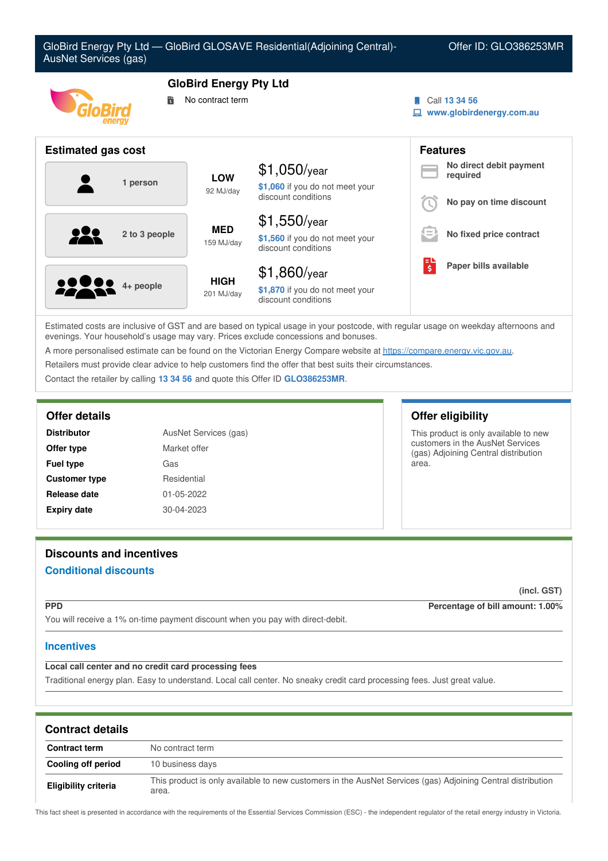

Estimated costs are inclusive of GST and are based on typical usage in your postcode, with regular usage on weekday afternoons and evenings. Your household's usage may vary. Prices exclude concessions and bonuses.

A more personalised estimate can be found on the Victorian Energy Compare website at <https://compare.energy.vic.gov.au>.

Retailers must provide clear advice to help customers find the offer that best suits their circumstances.

Contact the retailer by calling **13 34 56** and quote this Offer ID **GLO386253MR**.

| AusNet Services (gas)<br><b>Distributor</b><br>Market offer<br>Offer type |             |
|---------------------------------------------------------------------------|-------------|
|                                                                           |             |
| <b>Customer type</b>                                                      | Residential |
| Release date                                                              | 01-05-2022  |
| <b>Expiry date</b>                                                        | 30-04-2023  |

# **Offer details Offer eligibility**

This product is only available to new customers in the AusNet Services (gas) Adjoining Central distribution area.

# **Discounts and incentives**

# **Conditional discounts**

**(incl. GST)**

**PPD Percentage of bill amount: 1.00%**

You will receive a 1% on-time payment discount when you pay with direct-debit.

### **Incentives**

# **Local call center and no credit card processing fees**

Traditional energy plan. Easy to understand. Local call center. No sneaky credit card processing fees. Just great value.

| <b>Contract details</b> |                                                                                                                      |  |
|-------------------------|----------------------------------------------------------------------------------------------------------------------|--|
| <b>Contract term</b>    | No contract term                                                                                                     |  |
| Cooling off period      | 10 business days                                                                                                     |  |
| Eligibility criteria    | This product is only available to new customers in the AusNet Services (gas) Adjoining Central distribution<br>area. |  |

This fact sheet is presented in accordance with the requirements of the Essential Services Commission (ESC) - the independent regulator of the retail energy industry in Victoria.